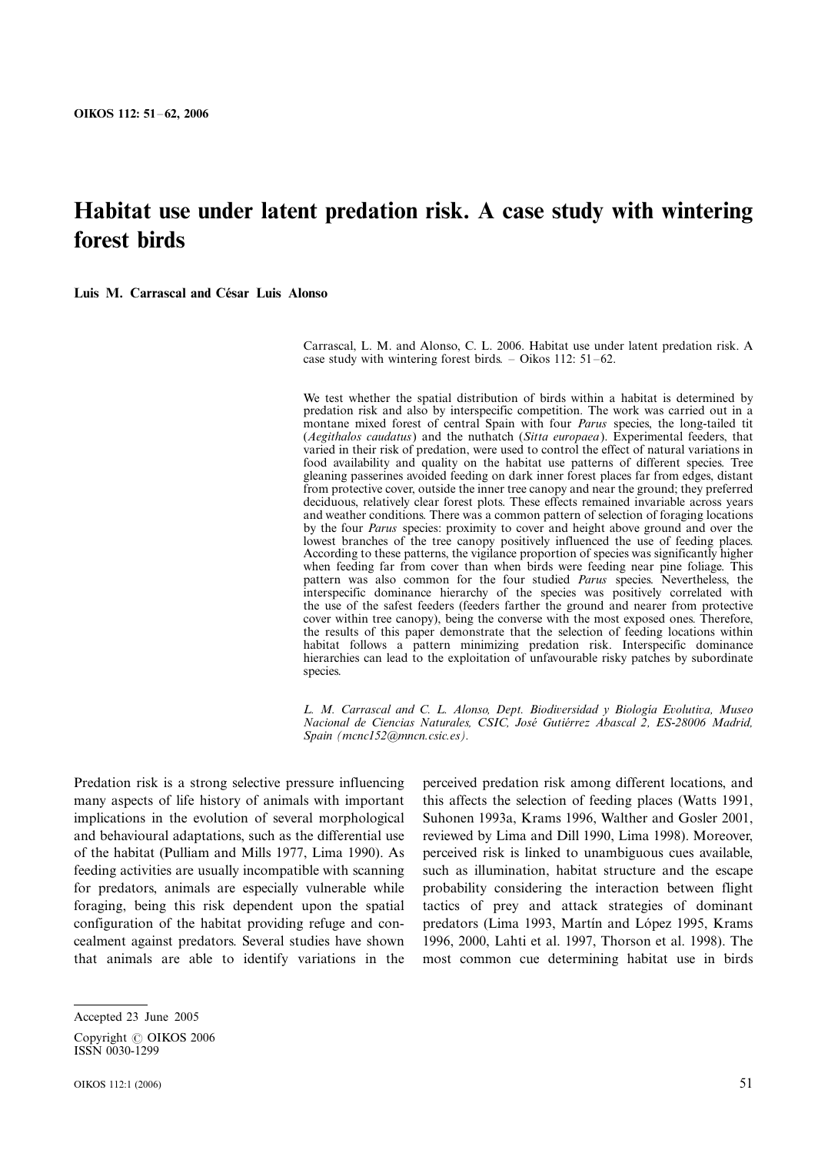# Habitat use under latent predation risk. A case study with wintering forest birds

Luis M. Carrascal and César Luis Alonso

Carrascal, L. M. and Alonso, C. L. 2006. Habitat use under latent predation risk. A case study with wintering forest birds. - Oikos 112:  $51-62$ .

We test whether the spatial distribution of birds within a habitat is determined by predation risk and also by interspecific competition. The work was carried out in a montane mixed forest of central Spain with four Parus species, the long-tailed tit (Aegithalos caudatus) and the nuthatch (Sitta europaea). Experimental feeders, that varied in their risk of predation, were used to control the effect of natural variations in food availability and quality on the habitat use patterns of different species. Tree gleaning passerines avoided feeding on dark inner forest places far from edges, distant from protective cover, outside the inner tree canopy and near the ground; they preferred deciduous, relatively clear forest plots. These effects remained invariable across years and weather conditions. There was a common pattern of selection of foraging locations by the four *Parus* species: proximity to cover and height above ground and over the lowest branches of the tree canopy positively influenced the use of feeding places. According to these patterns, the vigilance proportion of species was significantly higher when feeding far from cover than when birds were feeding near pine foliage. This pattern was also common for the four studied Parus species. Nevertheless, the interspecific dominance hierarchy of the species was positively correlated with the use of the safest feeders (feeders farther the ground and nearer from protective cover within tree canopy), being the converse with the most exposed ones. Therefore, the results of this paper demonstrate that the selection of feeding locations within habitat follows a pattern minimizing predation risk. Interspecific dominance hierarchies can lead to the exploitation of unfavourable risky patches by subordinate species.

L. M. Carrascal and C. L. Alonso, Dept. Biodiversidad y Biología Evolutiva, Museo Nacional de Ciencias Naturales, CSIC, José Gutiérrez Abascal 2, ES-28006 Madrid, Spain (mcnc152@mncn.csic.es).

Predation risk is a strong selective pressure influencing many aspects of life history of animals with important implications in the evolution of several morphological and behavioural adaptations, such as the differential use of the habitat (Pulliam and Mills 1977, Lima 1990). As feeding activities are usually incompatible with scanning for predators, animals are especially vulnerable while foraging, being this risk dependent upon the spatial configuration of the habitat providing refuge and concealment against predators. Several studies have shown that animals are able to identify variations in the

perceived predation risk among different locations, and this affects the selection of feeding places (Watts 1991, Suhonen 1993a, Krams 1996, Walther and Gosler 2001, reviewed by Lima and Dill 1990, Lima 1998). Moreover, perceived risk is linked to unambiguous cues available, such as illumination, habitat structure and the escape probability considering the interaction between flight tactics of prey and attack strategies of dominant predators (Lima 1993, Martín and López 1995, Krams 1996, 2000, Lahti et al. 1997, Thorson et al. 1998). The most common cue determining habitat use in birds

Accepted 23 June 2005

Copyright © OIKOS 2006 ISSN 0030-1299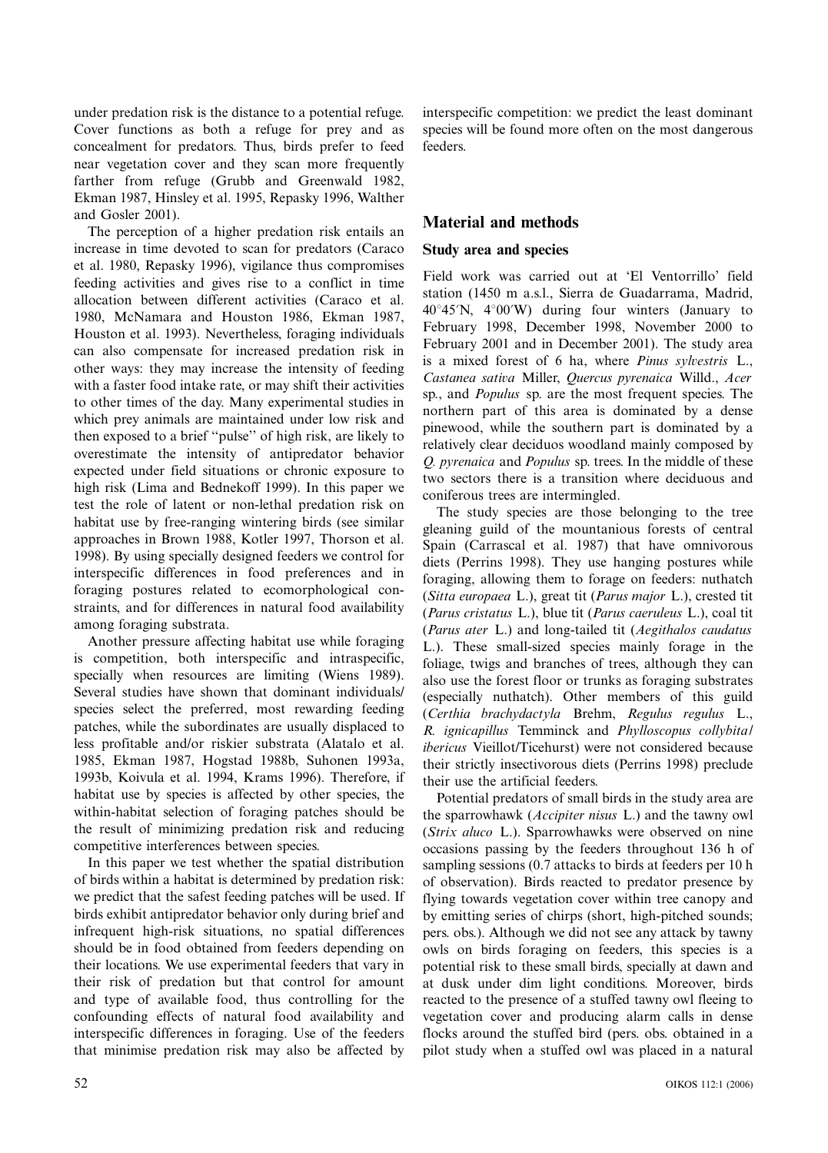under predation risk is the distance to a potential refuge. Cover functions as both a refuge for prey and as concealment for predators. Thus, birds prefer to feed near vegetation cover and they scan more frequently farther from refuge (Grubb and Greenwald 1982, Ekman 1987, Hinsley et al. 1995, Repasky 1996, Walther and Gosler 2001).

The perception of a higher predation risk entails an increase in time devoted to scan for predators (Caraco et al. 1980, Repasky 1996), vigilance thus compromises feeding activities and gives rise to a conflict in time allocation between different activities (Caraco et al. 1980, McNamara and Houston 1986, Ekman 1987, Houston et al. 1993). Nevertheless, foraging individuals can also compensate for increased predation risk in other ways: they may increase the intensity of feeding with a faster food intake rate, or may shift their activities to other times of the day. Many experimental studies in which prey animals are maintained under low risk and then exposed to a brief ''pulse'' of high risk, are likely to overestimate the intensity of antipredator behavior expected under field situations or chronic exposure to high risk (Lima and Bednekoff 1999). In this paper we test the role of latent or non-lethal predation risk on habitat use by free-ranging wintering birds (see similar approaches in Brown 1988, Kotler 1997, Thorson et al. 1998). By using specially designed feeders we control for interspecific differences in food preferences and in foraging postures related to ecomorphological constraints, and for differences in natural food availability among foraging substrata.

Another pressure affecting habitat use while foraging is competition, both interspecific and intraspecific, specially when resources are limiting (Wiens 1989). Several studies have shown that dominant individuals/ species select the preferred, most rewarding feeding patches, while the subordinates are usually displaced to less profitable and/or riskier substrata (Alatalo et al. 1985, Ekman 1987, Hogstad 1988b, Suhonen 1993a, 1993b, Koivula et al. 1994, Krams 1996). Therefore, if habitat use by species is affected by other species, the within-habitat selection of foraging patches should be the result of minimizing predation risk and reducing competitive interferences between species.

In this paper we test whether the spatial distribution of birds within a habitat is determined by predation risk: we predict that the safest feeding patches will be used. If birds exhibit antipredator behavior only during brief and infrequent high-risk situations, no spatial differences should be in food obtained from feeders depending on their locations. We use experimental feeders that vary in their risk of predation but that control for amount and type of available food, thus controlling for the confounding effects of natural food availability and interspecific differences in foraging. Use of the feeders that minimise predation risk may also be affected by interspecific competition: we predict the least dominant species will be found more often on the most dangerous feeders.

# Material and methods

## Study area and species

Field work was carried out at 'El Ventorrillo' field station (1450 m a.s.l., Sierra de Guadarrama, Madrid,  $40^{\circ}45'$ N,  $4^{\circ}00'$ W) during four winters (January to February 1998, December 1998, November 2000 to February 2001 and in December 2001). The study area is a mixed forest of 6 ha, where Pinus sylvestris L., Castanea sativa Miller, Quercus pyrenaica Willd., Acer sp., and Populus sp. are the most frequent species. The northern part of this area is dominated by a dense pinewood, while the southern part is dominated by a relatively clear deciduos woodland mainly composed by Q. pyrenaica and Populus sp. trees. In the middle of these two sectors there is a transition where deciduous and coniferous trees are intermingled.

The study species are those belonging to the tree gleaning guild of the mountanious forests of central Spain (Carrascal et al. 1987) that have omnivorous diets (Perrins 1998). They use hanging postures while foraging, allowing them to forage on feeders: nuthatch (Sitta europaea L.), great tit (Parus major L.), crested tit (Parus cristatus L.), blue tit (Parus caeruleus L.), coal tit (Parus ater L.) and long-tailed tit (Aegithalos caudatus L.). These small-sized species mainly forage in the foliage, twigs and branches of trees, although they can also use the forest floor or trunks as foraging substrates (especially nuthatch). Other members of this guild (Certhia brachydactyla Brehm, Regulus regulus L., R. ignicapillus Temminck and Phylloscopus collybita/ ibericus Vieillot/Ticehurst) were not considered because their strictly insectivorous diets (Perrins 1998) preclude their use the artificial feeders.

Potential predators of small birds in the study area are the sparrowhawk (Accipiter nisus L.) and the tawny owl (Strix aluco L.). Sparrowhawks were observed on nine occasions passing by the feeders throughout 136 h of sampling sessions (0.7 attacks to birds at feeders per 10 h of observation). Birds reacted to predator presence by flying towards vegetation cover within tree canopy and by emitting series of chirps (short, high-pitched sounds; pers. obs.). Although we did not see any attack by tawny owls on birds foraging on feeders, this species is a potential risk to these small birds, specially at dawn and at dusk under dim light conditions. Moreover, birds reacted to the presence of a stuffed tawny owl fleeing to vegetation cover and producing alarm calls in dense flocks around the stuffed bird (pers. obs. obtained in a pilot study when a stuffed owl was placed in a natural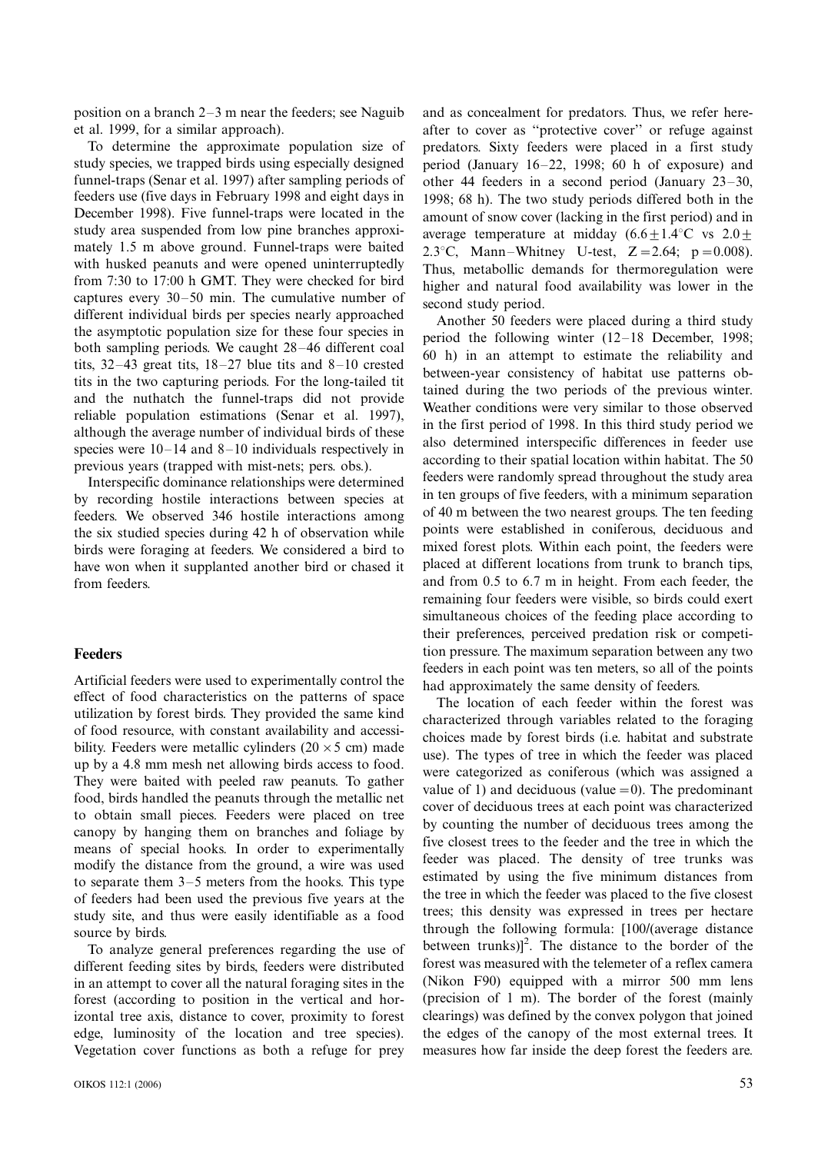position on a branch  $2-3$  m near the feeders; see Naguib et al. 1999, for a similar approach).

To determine the approximate population size of study species, we trapped birds using especially designed funnel-traps (Senar et al. 1997) after sampling periods of feeders use (five days in February 1998 and eight days in December 1998). Five funnel-traps were located in the study area suspended from low pine branches approximately 1.5 m above ground. Funnel-traps were baited with husked peanuts and were opened uninterruptedly from 7:30 to 17:00 h GMT. They were checked for bird captures every  $30-50$  min. The cumulative number of different individual birds per species nearly approached the asymptotic population size for these four species in both sampling periods. We caught  $28-46$  different coal tits,  $32-43$  great tits,  $18-27$  blue tits and  $8-10$  crested tits in the two capturing periods. For the long-tailed tit and the nuthatch the funnel-traps did not provide reliable population estimations (Senar et al. 1997), although the average number of individual birds of these species were  $10-14$  and  $8-10$  individuals respectively in previous years (trapped with mist-nets; pers. obs.).

Interspecific dominance relationships were determined by recording hostile interactions between species at feeders. We observed 346 hostile interactions among the six studied species during 42 h of observation while birds were foraging at feeders. We considered a bird to have won when it supplanted another bird or chased it from feeders.

### **Feeders**

Artificial feeders were used to experimentally control the effect of food characteristics on the patterns of space utilization by forest birds. They provided the same kind of food resource, with constant availability and accessibility. Feeders were metallic cylinders ( $20 \times 5$  cm) made up by a 4.8 mm mesh net allowing birds access to food. They were baited with peeled raw peanuts. To gather food, birds handled the peanuts through the metallic net to obtain small pieces. Feeders were placed on tree canopy by hanging them on branches and foliage by means of special hooks. In order to experimentally modify the distance from the ground, a wire was used to separate them  $3-5$  meters from the hooks. This type of feeders had been used the previous five years at the study site, and thus were easily identifiable as a food source by birds.

To analyze general preferences regarding the use of different feeding sites by birds, feeders were distributed in an attempt to cover all the natural foraging sites in the forest (according to position in the vertical and horizontal tree axis, distance to cover, proximity to forest edge, luminosity of the location and tree species). Vegetation cover functions as both a refuge for prey and as concealment for predators. Thus, we refer hereafter to cover as ''protective cover'' or refuge against predators. Sixty feeders were placed in a first study period (January  $16-22$ , 1998; 60 h of exposure) and other 44 feeders in a second period (January  $23-30$ , 1998; 68 h). The two study periods differed both in the amount of snow cover (lacking in the first period) and in average temperature at midday  $(6.6 \pm 1.4^{\circ}\text{C} \text{ vs } 2.0 \pm$ 2.3°C, Mann-Whitney U-test,  $Z = 2.64$ ; p=0.008). Thus, metabollic demands for thermoregulation were higher and natural food availability was lower in the second study period.

Another 50 feeders were placed during a third study period the following winter  $(12-18)$  December, 1998; 60 h) in an attempt to estimate the reliability and between-year consistency of habitat use patterns obtained during the two periods of the previous winter. Weather conditions were very similar to those observed in the first period of 1998. In this third study period we also determined interspecific differences in feeder use according to their spatial location within habitat. The 50 feeders were randomly spread throughout the study area in ten groups of five feeders, with a minimum separation of 40 m between the two nearest groups. The ten feeding points were established in coniferous, deciduous and mixed forest plots. Within each point, the feeders were placed at different locations from trunk to branch tips, and from 0.5 to 6.7 m in height. From each feeder, the remaining four feeders were visible, so birds could exert simultaneous choices of the feeding place according to their preferences, perceived predation risk or competition pressure. The maximum separation between any two feeders in each point was ten meters, so all of the points had approximately the same density of feeders.

The location of each feeder within the forest was characterized through variables related to the foraging choices made by forest birds (i.e. habitat and substrate use). The types of tree in which the feeder was placed were categorized as coniferous (which was assigned a value of 1) and deciduous (value  $=0$ ). The predominant cover of deciduous trees at each point was characterized by counting the number of deciduous trees among the five closest trees to the feeder and the tree in which the feeder was placed. The density of tree trunks was estimated by using the five minimum distances from the tree in which the feeder was placed to the five closest trees; this density was expressed in trees per hectare through the following formula: [100/(average distance between trunks)]<sup>2</sup>. The distance to the border of the forest was measured with the telemeter of a reflex camera (Nikon F90) equipped with a mirror 500 mm lens (precision of 1 m). The border of the forest (mainly clearings) was defined by the convex polygon that joined the edges of the canopy of the most external trees. It measures how far inside the deep forest the feeders are.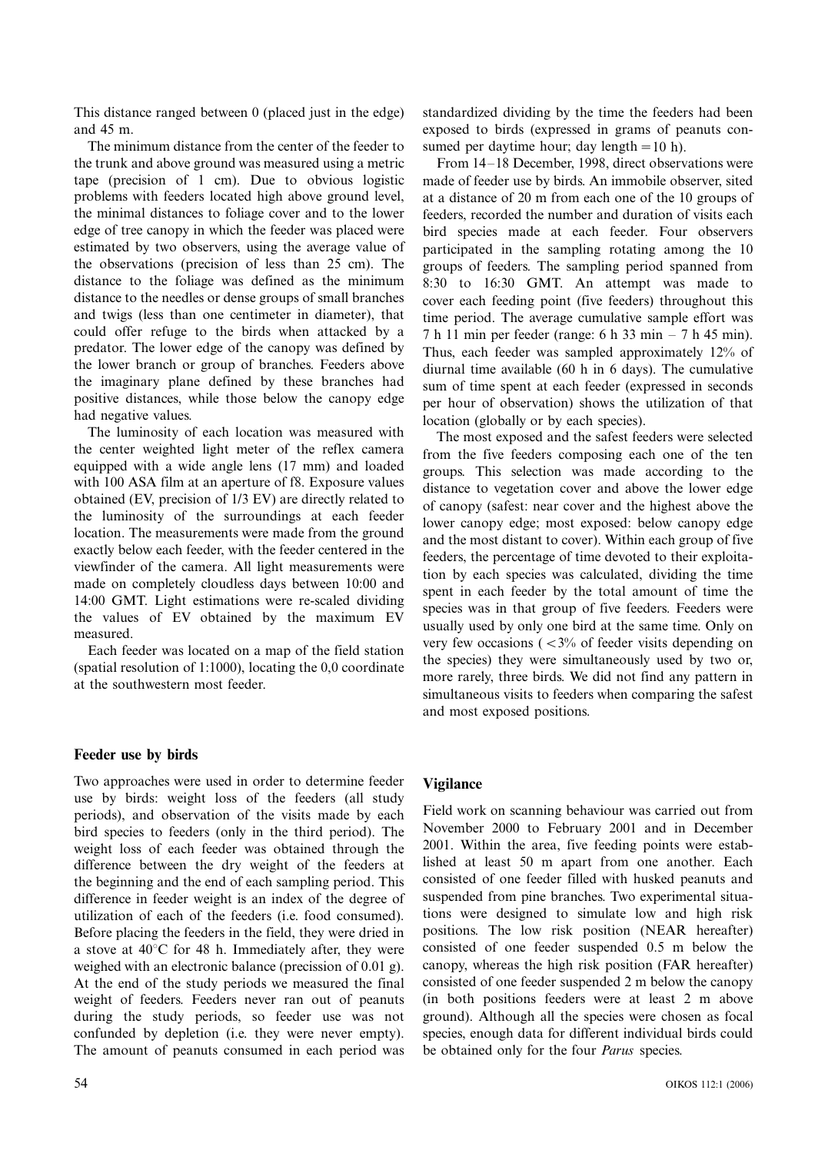This distance ranged between 0 (placed just in the edge) and 45 m.

The minimum distance from the center of the feeder to the trunk and above ground was measured using a metric tape (precision of 1 cm). Due to obvious logistic problems with feeders located high above ground level, the minimal distances to foliage cover and to the lower edge of tree canopy in which the feeder was placed were estimated by two observers, using the average value of the observations (precision of less than 25 cm). The distance to the foliage was defined as the minimum distance to the needles or dense groups of small branches and twigs (less than one centimeter in diameter), that could offer refuge to the birds when attacked by a predator. The lower edge of the canopy was defined by the lower branch or group of branches. Feeders above the imaginary plane defined by these branches had positive distances, while those below the canopy edge had negative values.

The luminosity of each location was measured with the center weighted light meter of the reflex camera equipped with a wide angle lens (17 mm) and loaded with 100 ASA film at an aperture of f8. Exposure values obtained (EV, precision of 1/3 EV) are directly related to the luminosity of the surroundings at each feeder location. The measurements were made from the ground exactly below each feeder, with the feeder centered in the viewfinder of the camera. All light measurements were made on completely cloudless days between 10:00 and 14:00 GMT. Light estimations were re-scaled dividing the values of EV obtained by the maximum EV measured.

Each feeder was located on a map of the field station (spatial resolution of 1:1000), locating the 0,0 coordinate at the southwestern most feeder.

# Feeder use by birds

Two approaches were used in order to determine feeder use by birds: weight loss of the feeders (all study periods), and observation of the visits made by each bird species to feeders (only in the third period). The weight loss of each feeder was obtained through the difference between the dry weight of the feeders at the beginning and the end of each sampling period. This difference in feeder weight is an index of the degree of utilization of each of the feeders (i.e. food consumed). Before placing the feeders in the field, they were dried in a stove at  $40^{\circ}$ C for 48 h. Immediately after, they were weighed with an electronic balance (precission of 0.01 g). At the end of the study periods we measured the final weight of feeders. Feeders never ran out of peanuts during the study periods, so feeder use was not confunded by depletion (i.e. they were never empty). The amount of peanuts consumed in each period was standardized dividing by the time the feeders had been exposed to birds (expressed in grams of peanuts consumed per daytime hour; day length =  $10$  h).

From 14-18 December, 1998, direct observations were made of feeder use by birds. An immobile observer, sited at a distance of 20 m from each one of the 10 groups of feeders, recorded the number and duration of visits each bird species made at each feeder. Four observers participated in the sampling rotating among the 10 groups of feeders. The sampling period spanned from 8:30 to 16:30 GMT. An attempt was made to cover each feeding point (five feeders) throughout this time period. The average cumulative sample effort was 7 h 11 min per feeder (range: 6 h 33 min  $-$  7 h 45 min). Thus, each feeder was sampled approximately 12% of diurnal time available (60 h in 6 days). The cumulative sum of time spent at each feeder (expressed in seconds per hour of observation) shows the utilization of that location (globally or by each species).

The most exposed and the safest feeders were selected from the five feeders composing each one of the ten groups. This selection was made according to the distance to vegetation cover and above the lower edge of canopy (safest: near cover and the highest above the lower canopy edge; most exposed: below canopy edge and the most distant to cover). Within each group of five feeders, the percentage of time devoted to their exploitation by each species was calculated, dividing the time spent in each feeder by the total amount of time the species was in that group of five feeders. Feeders were usually used by only one bird at the same time. Only on very few occasions ( $\langle 3\%$ ) of feeder visits depending on the species) they were simultaneously used by two or, more rarely, three birds. We did not find any pattern in simultaneous visits to feeders when comparing the safest and most exposed positions.

# Vigilance

Field work on scanning behaviour was carried out from November 2000 to February 2001 and in December 2001. Within the area, five feeding points were established at least 50 m apart from one another. Each consisted of one feeder filled with husked peanuts and suspended from pine branches. Two experimental situations were designed to simulate low and high risk positions. The low risk position (NEAR hereafter) consisted of one feeder suspended 0.5 m below the canopy, whereas the high risk position (FAR hereafter) consisted of one feeder suspended 2 m below the canopy (in both positions feeders were at least 2 m above ground). Although all the species were chosen as focal species, enough data for different individual birds could be obtained only for the four *Parus* species.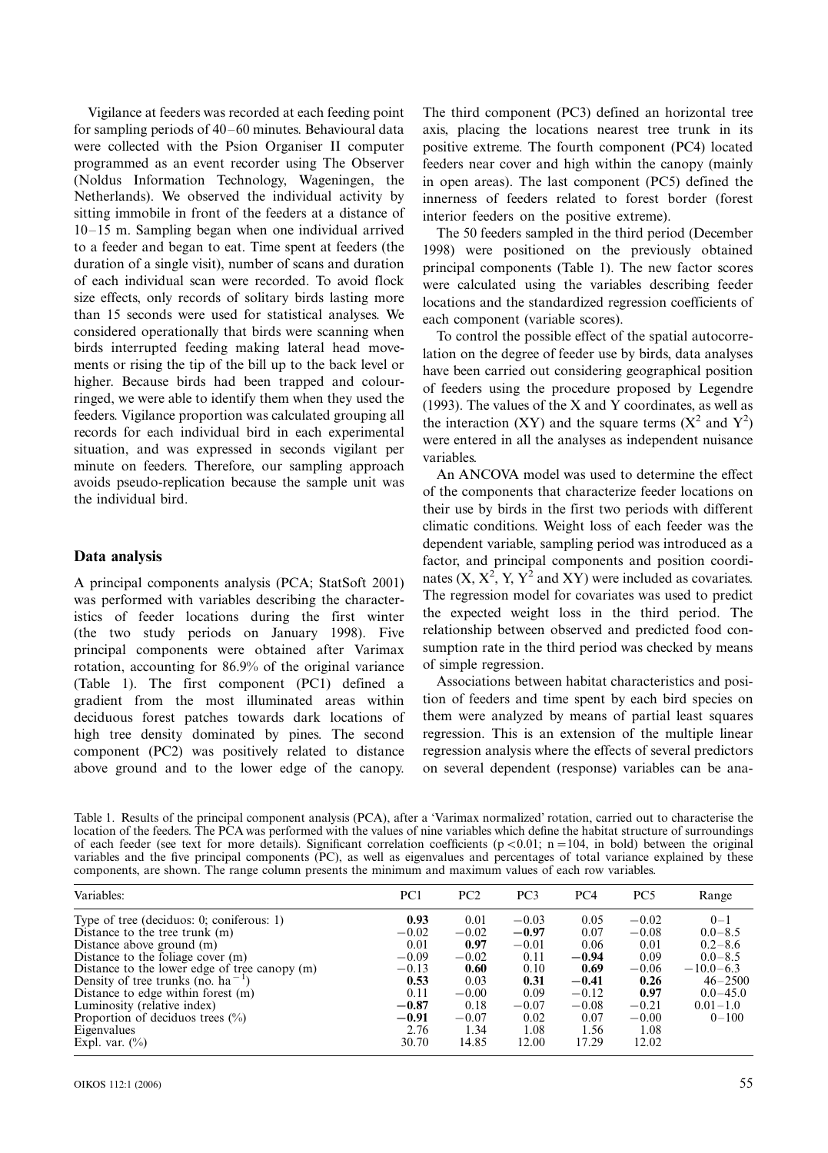Vigilance at feeders was recorded at each feeding point for sampling periods of 40–60 minutes. Behavioural data were collected with the Psion Organiser II computer programmed as an event recorder using The Observer (Noldus Information Technology, Wageningen, the Netherlands). We observed the individual activity by sitting immobile in front of the feeders at a distance of  $10-15$  m. Sampling began when one individual arrived to a feeder and began to eat. Time spent at feeders (the duration of a single visit), number of scans and duration of each individual scan were recorded. To avoid flock size effects, only records of solitary birds lasting more than 15 seconds were used for statistical analyses. We considered operationally that birds were scanning when birds interrupted feeding making lateral head movements or rising the tip of the bill up to the back level or higher. Because birds had been trapped and colourringed, we were able to identify them when they used the feeders. Vigilance proportion was calculated grouping all records for each individual bird in each experimental situation, and was expressed in seconds vigilant per minute on feeders. Therefore, our sampling approach avoids pseudo-replication because the sample unit was the individual bird.

### Data analysis

A principal components analysis (PCA; StatSoft 2001) was performed with variables describing the characteristics of feeder locations during the first winter (the two study periods on January 1998). Five principal components were obtained after Varimax rotation, accounting for 86.9% of the original variance (Table 1). The first component (PC1) defined a gradient from the most illuminated areas within deciduous forest patches towards dark locations of high tree density dominated by pines. The second component (PC2) was positively related to distance above ground and to the lower edge of the canopy. The third component (PC3) defined an horizontal tree axis, placing the locations nearest tree trunk in its positive extreme. The fourth component (PC4) located feeders near cover and high within the canopy (mainly in open areas). The last component (PC5) defined the innerness of feeders related to forest border (forest interior feeders on the positive extreme).

The 50 feeders sampled in the third period (December 1998) were positioned on the previously obtained principal components (Table 1). The new factor scores were calculated using the variables describing feeder locations and the standardized regression coefficients of each component (variable scores).

To control the possible effect of the spatial autocorrelation on the degree of feeder use by birds, data analyses have been carried out considering geographical position of feeders using the procedure proposed by Legendre (1993). The values of the X and Y coordinates, as well as the interaction (XY) and the square terms ( $X^2$  and  $Y^2$ ) were entered in all the analyses as independent nuisance variables.

An ANCOVA model was used to determine the effect of the components that characterize feeder locations on their use by birds in the first two periods with different climatic conditions. Weight loss of each feeder was the dependent variable, sampling period was introduced as a factor, and principal components and position coordinates  $(X, X^2, Y, Y^2$  and XY) were included as covariates. The regression model for covariates was used to predict the expected weight loss in the third period. The relationship between observed and predicted food consumption rate in the third period was checked by means of simple regression.

Associations between habitat characteristics and position of feeders and time spent by each bird species on them were analyzed by means of partial least squares regression. This is an extension of the multiple linear regression analysis where the effects of several predictors on several dependent (response) variables can be ana-

Table 1. Results of the principal component analysis (PCA), after a 'Varimax normalized' rotation, carried out to characterise the location of the feeders. The PCA was performed with the values of nine variables which define the habitat structure of surroundings of each feeder (see text for more details). Significant correlation coefficients ( $p < 0.01$ ; n=104, in bold) between the original variables and the five principal components (PC), as well as eigenvalues and percentages of total variance explained by these components, are shown. The range column presents the minimum and maximum values of each row variables.

| Variables:                                    | PC1     | PC2     | PC <sub>3</sub> | PC4     | PC <sub>5</sub> | Range        |
|-----------------------------------------------|---------|---------|-----------------|---------|-----------------|--------------|
| Type of tree (deciduos: 0; coniferous: 1)     | 0.93    | 0.01    | $-0.03$         | 0.05    | $-0.02$         | $0 - 1$      |
| Distance to the tree trunk $(m)$              | $-0.02$ | $-0.02$ | $-0.97$         | 0.07    | $-0.08$         | $0.0 - 8.5$  |
| Distance above ground (m)                     | 0.01    | 0.97    | $-0.01$         | 0.06    | 0.01            | $0.2 - 8.6$  |
| Distance to the foliage cover (m)             | $-0.09$ | $-0.02$ | 0.11            | $-0.94$ | 0.09            | $0.0 - 8.5$  |
| Distance to the lower edge of tree canopy (m) | $-0.13$ | 0.60    | 0.10            | 0.69    | $-0.06$         | $-10.0-6.3$  |
| Density of tree trunks (no. $ha^{-1}$ )       | 0.53    | 0.03    | 0.31            | $-0.41$ | 0.26            | $46 - 2500$  |
| Distance to edge within forest (m)            | 0.11    | $-0.00$ | 0.09            | $-0.12$ | 0.97            | $0.0 - 45.0$ |
| Luminosity (relative index)                   | $-0.87$ | 0.18    | $-0.07$         | $-0.08$ | $-0.21$         | $0.01 - 1.0$ |
| Proportion of deciduos trees $(\% )$          | $-0.91$ | $-0.07$ | 0.02            | 0.07    | $-0.00$         | $0 - 100$    |
| Eigenvalues                                   | 2.76    | 1.34    | 1.08            | 1.56    | 1.08            |              |
| Expl. var. $(\%)$                             | 30.70   | 14.85   | 12.00           | 17.29   | 12.02           |              |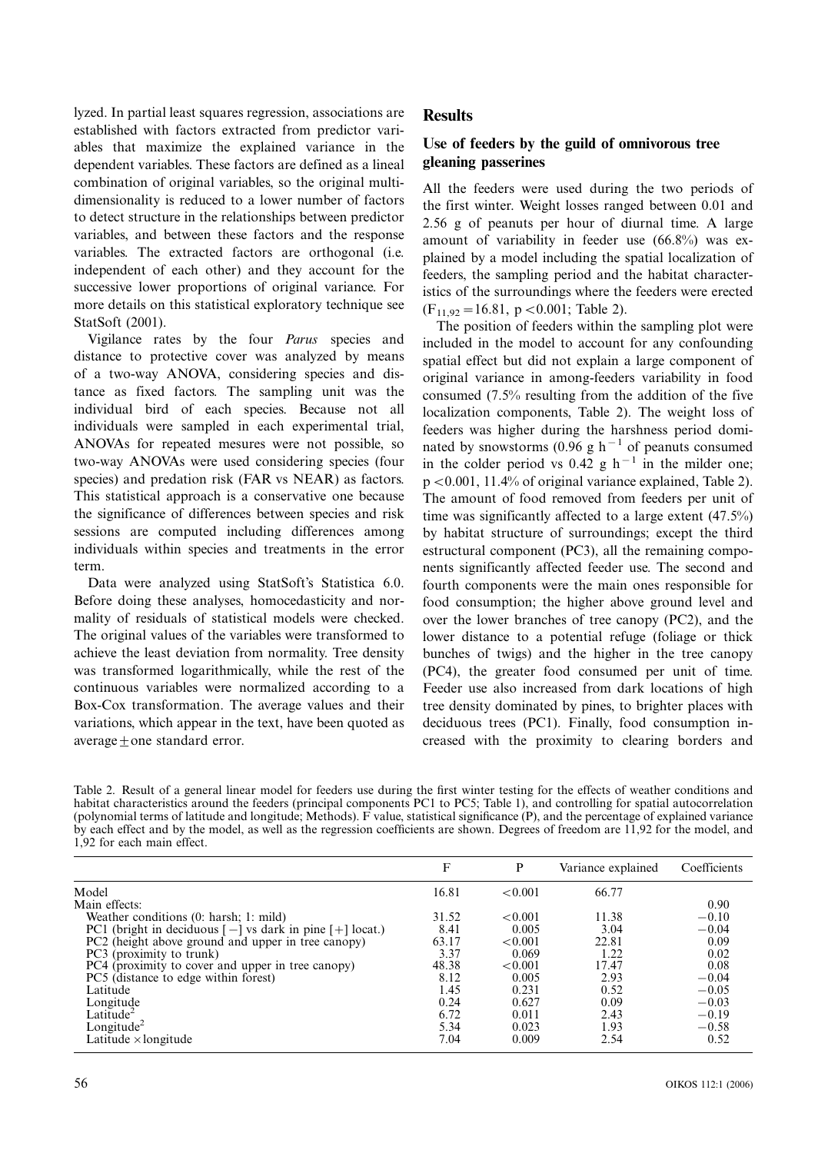lyzed. In partial least squares regression, associations are established with factors extracted from predictor variables that maximize the explained variance in the dependent variables. These factors are defined as a lineal combination of original variables, so the original multidimensionality is reduced to a lower number of factors to detect structure in the relationships between predictor variables, and between these factors and the response variables. The extracted factors are orthogonal (i.e. independent of each other) and they account for the successive lower proportions of original variance. For more details on this statistical exploratory technique see StatSoft (2001).

Vigilance rates by the four Parus species and distance to protective cover was analyzed by means of a two-way ANOVA, considering species and distance as fixed factors. The sampling unit was the individual bird of each species. Because not all individuals were sampled in each experimental trial, ANOVAs for repeated mesures were not possible, so two-way ANOVAs were used considering species (four species) and predation risk (FAR vs NEAR) as factors. This statistical approach is a conservative one because the significance of differences between species and risk sessions are computed including differences among individuals within species and treatments in the error term.

Data were analyzed using StatSoft's Statistica 6.0. Before doing these analyses, homocedasticity and normality of residuals of statistical models were checked. The original values of the variables were transformed to achieve the least deviation from normality. Tree density was transformed logarithmically, while the rest of the continuous variables were normalized according to a Box-Cox transformation. The average values and their variations, which appear in the text, have been quoted as  $average + one standard error.$ 

# **Results**

# Use of feeders by the guild of omnivorous tree gleaning passerines

All the feeders were used during the two periods of the first winter. Weight losses ranged between 0.01 and 2.56 g of peanuts per hour of diurnal time. A large amount of variability in feeder use (66.8%) was explained by a model including the spatial localization of feeders, the sampling period and the habitat characteristics of the surroundings where the feeders were erected  $(F_{11,92} = 16.81, p < 0.001;$  Table 2).

The position of feeders within the sampling plot were included in the model to account for any confounding spatial effect but did not explain a large component of original variance in among-feeders variability in food consumed (7.5% resulting from the addition of the five localization components, Table 2). The weight loss of feeders was higher during the harshness period dominated by snowstorms (0.96 g h<sup>-1</sup> of peanuts consumed in the colder period vs 0.42 g h<sup>-1</sup> in the milder one;  $p < 0.001$ , 11.4% of original variance explained, Table 2). The amount of food removed from feeders per unit of time was significantly affected to a large extent (47.5%) by habitat structure of surroundings; except the third estructural component (PC3), all the remaining components significantly affected feeder use. The second and fourth components were the main ones responsible for food consumption; the higher above ground level and over the lower branches of tree canopy (PC2), and the lower distance to a potential refuge (foliage or thick bunches of twigs) and the higher in the tree canopy (PC4), the greater food consumed per unit of time. Feeder use also increased from dark locations of high tree density dominated by pines, to brighter places with deciduous trees (PC1). Finally, food consumption increased with the proximity to clearing borders and

Table 2. Result of a general linear model for feeders use during the first winter testing for the effects of weather conditions and habitat characteristics around the feeders (principal components PC1 to PC5; Table 1), and controlling for spatial autocorrelation (polynomial terms of latitude and longitude; Methods).  $\vec{F}$  value, statistical significance  $(P)$ , and the percentage of explained variance by each effect and by the model, as well as the regression coefficients are shown. Degrees of freedom are 11,92 for the model, and 1,92 for each main effect.

|                                                              | F     | P       | Variance explained | Coefficients |
|--------------------------------------------------------------|-------|---------|--------------------|--------------|
| Model                                                        | 16.81 | < 0.001 | 66.77              |              |
| Main effects:                                                |       |         |                    | 0.90         |
| Weather conditions (0: harsh; 1: mild)                       | 31.52 | < 0.001 | 11.38              | $-0.10$      |
| PC1 (bright in deciduous $[-]$ vs dark in pine $[+]$ locat.) | 8.41  | 0.005   | 3.04               | $-0.04$      |
| PC2 (height above ground and upper in tree canopy)           | 63.17 | < 0.001 | 22.81              | 0.09         |
| PC3 (proximity to trunk)                                     | 3.37  | 0.069   | 1.22               | 0.02         |
| PC4 (proximity to cover and upper in tree canopy)            | 48.38 | < 0.001 | 17.47              | 0.08         |
| PC5 (distance to edge within forest)                         | 8.12  | 0.005   | 2.93               | $-0.04$      |
| Latitude                                                     | 1.45  | 0.231   | 0.52               | $-0.05$      |
| Longitude                                                    | 0.24  | 0.627   | 0.09               | $-0.03$      |
| Latitude <sup>2</sup>                                        | 6.72  | 0.011   | 2.43               | $-0.19$      |
| Longitude <sup>2</sup>                                       | 5.34  | 0.023   | 1.93               | $-0.58$      |
| Latitude $\times$ longitude                                  | 7.04  | 0.009   | 2.54               | 0.52         |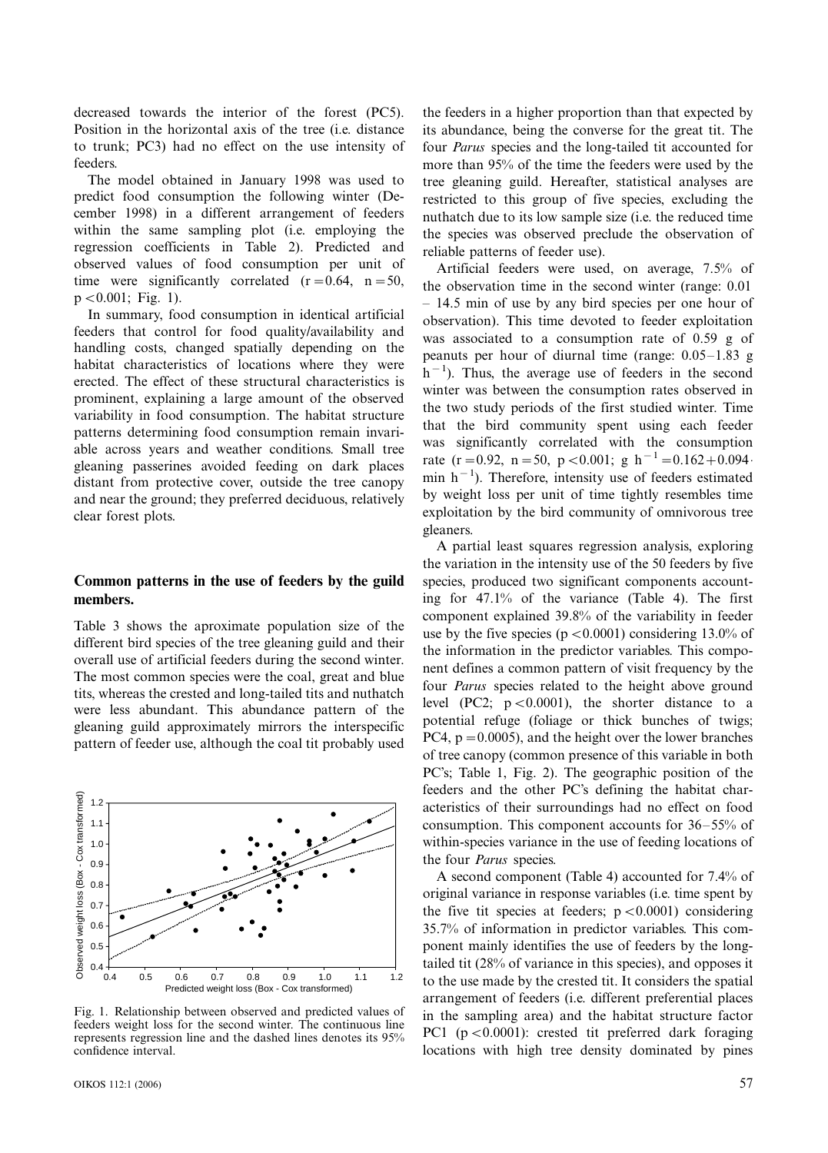decreased towards the interior of the forest (PC5). Position in the horizontal axis of the tree (i.e. distance to trunk; PC3) had no effect on the use intensity of feeders.

The model obtained in January 1998 was used to predict food consumption the following winter (December 1998) in a different arrangement of feeders within the same sampling plot (i.e. employing the regression coefficients in Table 2). Predicted and observed values of food consumption per unit of time were significantly correlated  $(r=0.64, n=50,$  $p < 0.001$ ; Fig. 1).

In summary, food consumption in identical artificial feeders that control for food quality/availability and handling costs, changed spatially depending on the habitat characteristics of locations where they were erected. The effect of these structural characteristics is prominent, explaining a large amount of the observed variability in food consumption. The habitat structure patterns determining food consumption remain invariable across years and weather conditions. Small tree gleaning passerines avoided feeding on dark places distant from protective cover, outside the tree canopy and near the ground; they preferred deciduous, relatively clear forest plots.

#### Common patterns in the use of feeders by the guild members.

Table 3 shows the aproximate population size of the different bird species of the tree gleaning guild and their overall use of artificial feeders during the second winter. The most common species were the coal, great and blue tits, whereas the crested and long-tailed tits and nuthatch were less abundant. This abundance pattern of the gleaning guild approximately mirrors the interspecific pattern of feeder use, although the coal tit probably used



Fig. 1. Relationship between observed and predicted values of feeders weight loss for the second winter. The continuous line represents regression line and the dashed lines denotes its 95% confidence interval.

the feeders in a higher proportion than that expected by its abundance, being the converse for the great tit. The four Parus species and the long-tailed tit accounted for more than 95% of the time the feeders were used by the tree gleaning guild. Hereafter, statistical analyses are restricted to this group of five species, excluding the nuthatch due to its low sample size (i.e. the reduced time the species was observed preclude the observation of reliable patterns of feeder use).

Artificial feeders were used, on average, 7.5% of the observation time in the second winter (range: 0.01 - 14.5 min of use by any bird species per one hour of observation). This time devoted to feeder exploitation was associated to a consumption rate of 0.59 g of peanuts per hour of diurnal time (range:  $0.05-1.83$  g  $h^{-1}$ ). Thus, the average use of feeders in the second winter was between the consumption rates observed in the two study periods of the first studied winter. Time that the bird community spent using each feeder was significantly correlated with the consumption rate (r = 0.92, n = 50, p < 0.001; g h<sup>-1</sup> = 0.162 + 0.094 min  $h^{-1}$ ). Therefore, intensity use of feeders estimated by weight loss per unit of time tightly resembles time exploitation by the bird community of omnivorous tree gleaners.

A partial least squares regression analysis, exploring the variation in the intensity use of the 50 feeders by five species, produced two significant components accounting for 47.1% of the variance (Table 4). The first component explained 39.8% of the variability in feeder use by the five species ( $p < 0.0001$ ) considering 13.0% of the information in the predictor variables. This component defines a common pattern of visit frequency by the four Parus species related to the height above ground level (PC2;  $p < 0.0001$ ), the shorter distance to a potential refuge (foliage or thick bunches of twigs; PC4,  $p = 0.0005$ ), and the height over the lower branches of tree canopy (common presence of this variable in both PC's; Table 1, Fig. 2). The geographic position of the feeders and the other PC's defining the habitat characteristics of their surroundings had no effect on food consumption. This component accounts for  $36-55%$  of within-species variance in the use of feeding locations of the four Parus species.

A second component (Table 4) accounted for 7.4% of original variance in response variables (i.e. time spent by the five tit species at feeders;  $p < 0.0001$ ) considering 35.7% of information in predictor variables. This component mainly identifies the use of feeders by the longtailed tit (28% of variance in this species), and opposes it to the use made by the crested tit. It considers the spatial arrangement of feeders (i.e. different preferential places in the sampling area) and the habitat structure factor PC1 ( $p < 0.0001$ ): crested tit preferred dark foraging locations with high tree density dominated by pines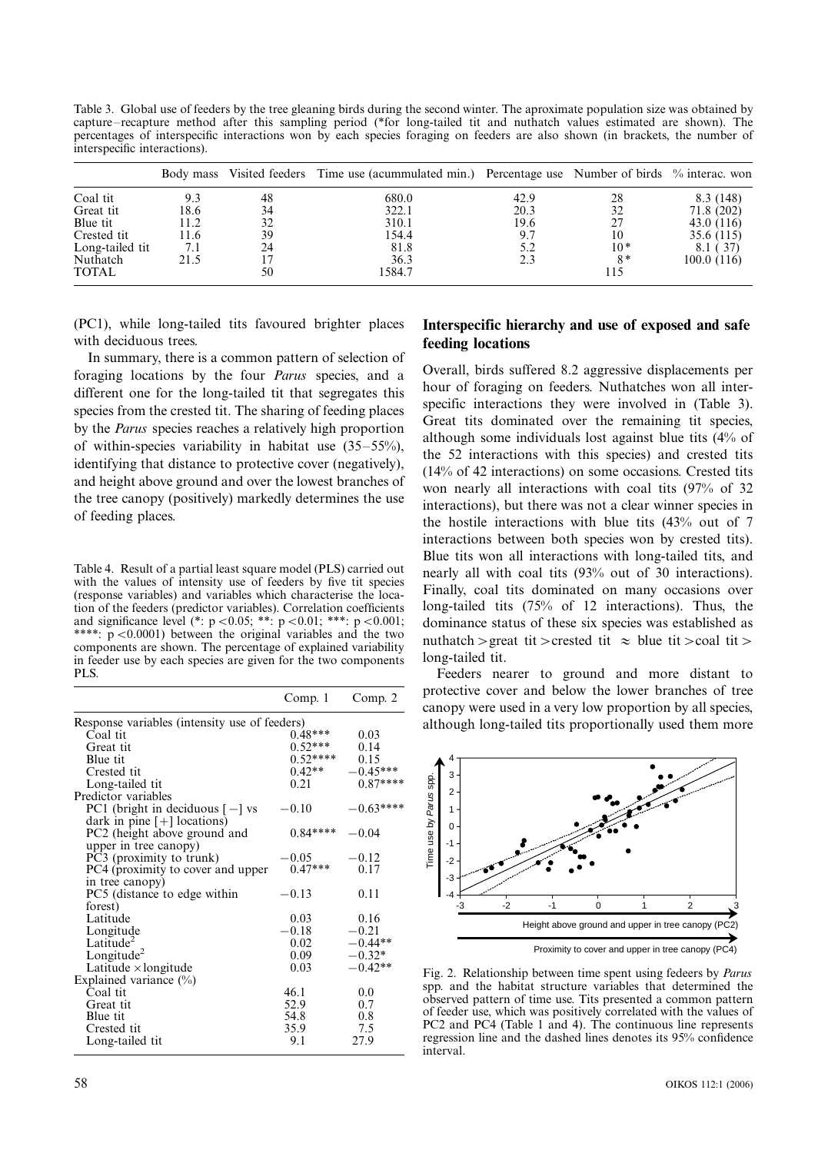Table 3. Global use of feeders by the tree gleaning birds during the second winter. The aproximate population size was obtained by capture–recapture method after this sampling period (\*for long-tailed tit and nuthatch values estimated are shown). The percentages of interspecific interactions won by each species foraging on feeders are also shown (in brackets, the number of interspecific interactions).

|                 |      |    | Body mass Visited feeders Time use (acummulated min.) Percentage use Number of birds % interac. won |      |       |            |
|-----------------|------|----|-----------------------------------------------------------------------------------------------------|------|-------|------------|
| Coal tit        |      | 48 | 680.0                                                                                               | 42.9 | 28    | 8.3 (148)  |
| Great tit       | 18.6 | 34 | 322.1                                                                                               | 20.3 | 32    | 71.8 (202) |
| Blue tit        | 11.2 |    | 310.1                                                                                               | 19.6 |       | 43.0 (116) |
| Crested tit     | 11.6 | 39 | 154.4                                                                                               | 9.7  | 10    | 35.6 (115) |
| Long-tailed tit | 7.1  | 24 | 81.8                                                                                                | 5.2  | $10*$ | 8.1 (37)   |
| Nuthatch        | 21.5 |    | 36.3                                                                                                | 2.3  | 8*    | 100.0(116) |
| <b>TOTAL</b>    |      | 50 | 1584.7                                                                                              |      | 15    |            |

(PC1), while long-tailed tits favoured brighter places with deciduous trees.

In summary, there is a common pattern of selection of foraging locations by the four Parus species, and a different one for the long-tailed tit that segregates this species from the crested tit. The sharing of feeding places by the Parus species reaches a relatively high proportion of within-species variability in habitat use  $(35-55\%)$ , identifying that distance to protective cover (negatively), and height above ground and over the lowest branches of the tree canopy (positively) markedly determines the use of feeding places.

Table 4. Result of a partial least square model (PLS) carried out with the values of intensity use of feeders by five tit species (response variables) and variables which characterise the location of the feeders (predictor variables). Correlation coefficients and significance level (\*:  $p < 0.05$ ; \*\*:  $p < 0.01$ ; \*\*\*:  $p < 0.001$ ; \*\*\*\*:  $p < 0.0001$ ) between the original variables and the two components are shown. The percentage of explained variability in feeder use by each species are given for the two components PLS.

|                                               | Comp. 1   | Comp. $2$  |
|-----------------------------------------------|-----------|------------|
| Response variables (intensity use of feeders) |           |            |
| Coal tit                                      | $0.48***$ | 0.03       |
| Great tit                                     | $0.52***$ | 0.14       |
| Blue tit                                      | $0.52***$ | 0.15       |
| Crested tit                                   | $0.42**$  | $-0.45***$ |
| Long-tailed tit                               | 0.21      | $0.87***$  |
| Predictor variables                           |           |            |
| PC1 (bright in deciduous $[-]$ vs $-0.10$     |           | $-0.63***$ |
| dark in pine $[+]$ locations)                 |           |            |
| PC2 (height above ground and                  | $0.84***$ | $-0.04$    |
| upper in tree canopy)                         |           |            |
| PC3 (proximity to trunk)                      | $-0.05$   | $-0.12$    |
| PC4 (proximity to cover and upper             | $0.47***$ | 0.17       |
| in tree canopy)                               |           |            |
| PC5 (distance to edge within                  | $-0.13$   | 0.11       |
| forest)                                       |           |            |
| Latitude                                      | 0.03      | 0.16       |
| Longitude                                     | $-0.18$   | $-0.21$    |
| Latitude <sup>2</sup>                         | 0.02      | $-0.44**$  |
| Longitude <sup>2</sup>                        | 0.09      | $-0.32*$   |
| Latitude $\times$ longitude                   | 0.03      | $-0.42**$  |
| Explained variance $(\% )$                    |           |            |
| Coal tit                                      | 46.1      | 0.0        |
| Great tit                                     | 52.9      | 0.7        |
| Blue tit                                      | 54.8      | 0.8        |
| Crested tit                                   | 35.9      | 7.5        |
| Long-tailed tit                               | 9.1       | 27.9       |
|                                               |           |            |

## Interspecific hierarchy and use of exposed and safe feeding locations

Overall, birds suffered 8.2 aggressive displacements per hour of foraging on feeders. Nuthatches won all interspecific interactions they were involved in (Table 3). Great tits dominated over the remaining tit species, although some individuals lost against blue tits (4% of the 52 interactions with this species) and crested tits (14% of 42 interactions) on some occasions. Crested tits won nearly all interactions with coal tits (97% of 32 interactions), but there was not a clear winner species in the hostile interactions with blue tits (43% out of 7 interactions between both species won by crested tits). Blue tits won all interactions with long-tailed tits, and nearly all with coal tits (93% out of 30 interactions). Finally, coal tits dominated on many occasions over long-tailed tits (75% of 12 interactions). Thus, the dominance status of these six species was established as nuthatch  $>$  great tit  $>$  crested tit  $\approx$  blue tit $>$ coal tit $>$ long-tailed tit.

Feeders nearer to ground and more distant to protective cover and below the lower branches of tree canopy were used in a very low proportion by all species, although long-tailed tits proportionally used them more



Fig. 2. Relationship between time spent using fedeers by Parus spp. and the habitat structure variables that determined the observed pattern of time use. Tits presented a common pattern of feeder use, which was positively correlated with the values of PC2 and PC4 (Table 1 and 4). The continuous line represents regression line and the dashed lines denotes its 95% confidence interval.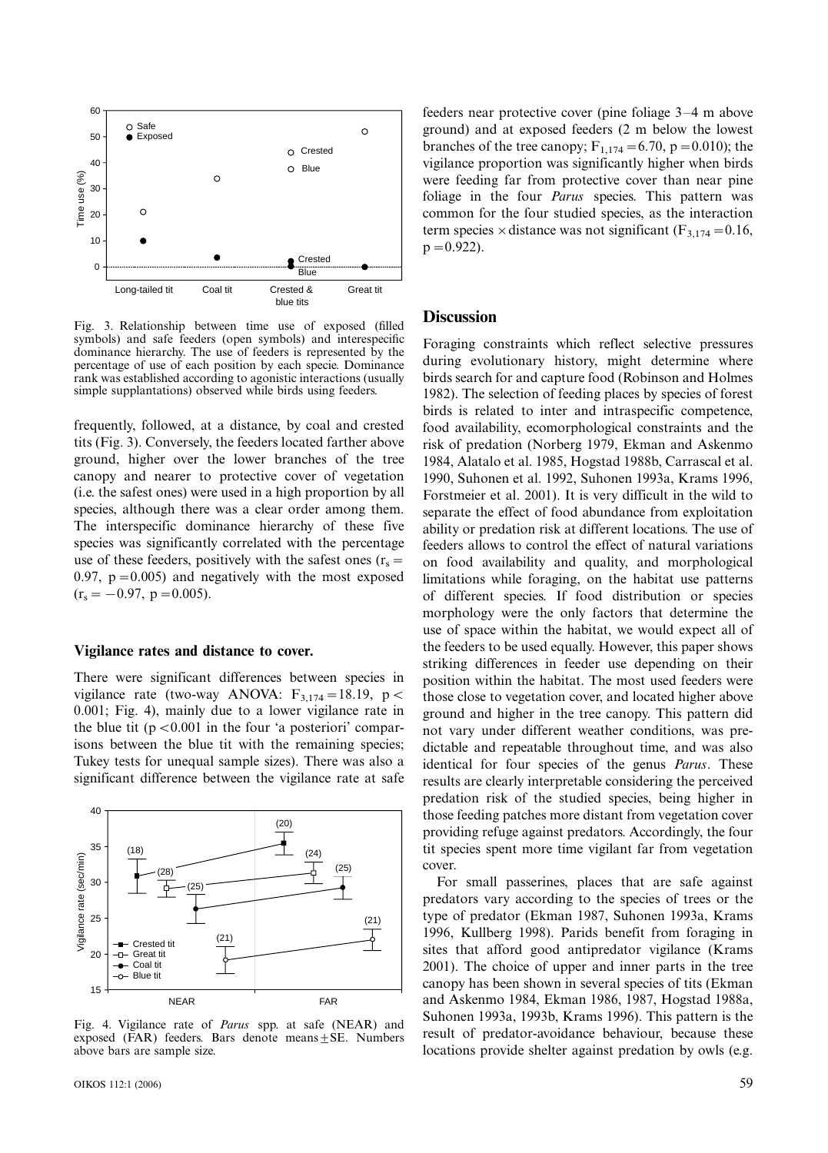

Fig. 3. Relationship between time use of exposed (filled symbols) and safe feeders (open symbols) and interespecific dominance hierarchy. The use of feeders is represented by the percentage of use of each position by each specie. Dominance rank was established according to agonistic interactions (usually simple supplantations) observed while birds using feeders.

frequently, followed, at a distance, by coal and crested tits (Fig. 3). Conversely, the feeders located farther above ground, higher over the lower branches of the tree canopy and nearer to protective cover of vegetation (i.e. the safest ones) were used in a high proportion by all species, although there was a clear order among them. The interspecific dominance hierarchy of these five species was significantly correlated with the percentage use of these feeders, positively with the safest ones  $(r_s =$ 0.97,  $p = 0.005$ ) and negatively with the most exposed  $(r_s = -0.97, p = 0.005)$ .

#### Vigilance rates and distance to cover.

There were significant differences between species in vigilance rate (two-way ANOVA:  $F_{3,174}$ =18.19, p < 0.001; Fig. 4), mainly due to a lower vigilance rate in the blue tit  $(p<0.001$  in the four 'a posteriori' comparisons between the blue tit with the remaining species; Tukey tests for unequal sample sizes). There was also a significant difference between the vigilance rate at safe



Fig. 4. Vigilance rate of Parus spp. at safe (NEAR) and exposed (FAR) feeders. Bars denote means $\pm$ SE. Numbers above bars are sample size.

feeders near protective cover (pine foliage 3–4 m above ground) and at exposed feeders (2 m below the lowest branches of the tree canopy;  $F_{1,174} = 6.70$ , p = 0.010); the vigilance proportion was significantly higher when birds were feeding far from protective cover than near pine foliage in the four *Parus* species. This pattern was common for the four studied species, as the interaction term species  $\times$  distance was not significant (F<sub>3,174</sub> = 0.16,  $p = 0.922$ .

# **Discussion**

Foraging constraints which reflect selective pressures during evolutionary history, might determine where birds search for and capture food (Robinson and Holmes 1982). The selection of feeding places by species of forest birds is related to inter and intraspecific competence, food availability, ecomorphological constraints and the risk of predation (Norberg 1979, Ekman and Askenmo 1984, Alatalo et al. 1985, Hogstad 1988b, Carrascal et al. 1990, Suhonen et al. 1992, Suhonen 1993a, Krams 1996, Forstmeier et al. 2001). It is very difficult in the wild to separate the effect of food abundance from exploitation ability or predation risk at different locations. The use of feeders allows to control the effect of natural variations on food availability and quality, and morphological limitations while foraging, on the habitat use patterns of different species. If food distribution or species morphology were the only factors that determine the use of space within the habitat, we would expect all of the feeders to be used equally. However, this paper shows striking differences in feeder use depending on their position within the habitat. The most used feeders were those close to vegetation cover, and located higher above ground and higher in the tree canopy. This pattern did not vary under different weather conditions, was predictable and repeatable throughout time, and was also identical for four species of the genus Parus. These results are clearly interpretable considering the perceived predation risk of the studied species, being higher in those feeding patches more distant from vegetation cover providing refuge against predators. Accordingly, the four tit species spent more time vigilant far from vegetation cover.

For small passerines, places that are safe against predators vary according to the species of trees or the type of predator (Ekman 1987, Suhonen 1993a, Krams 1996, Kullberg 1998). Parids benefit from foraging in sites that afford good antipredator vigilance (Krams 2001). The choice of upper and inner parts in the tree canopy has been shown in several species of tits (Ekman and Askenmo 1984, Ekman 1986, 1987, Hogstad 1988a, Suhonen 1993a, 1993b, Krams 1996). This pattern is the result of predator-avoidance behaviour, because these locations provide shelter against predation by owls (e.g.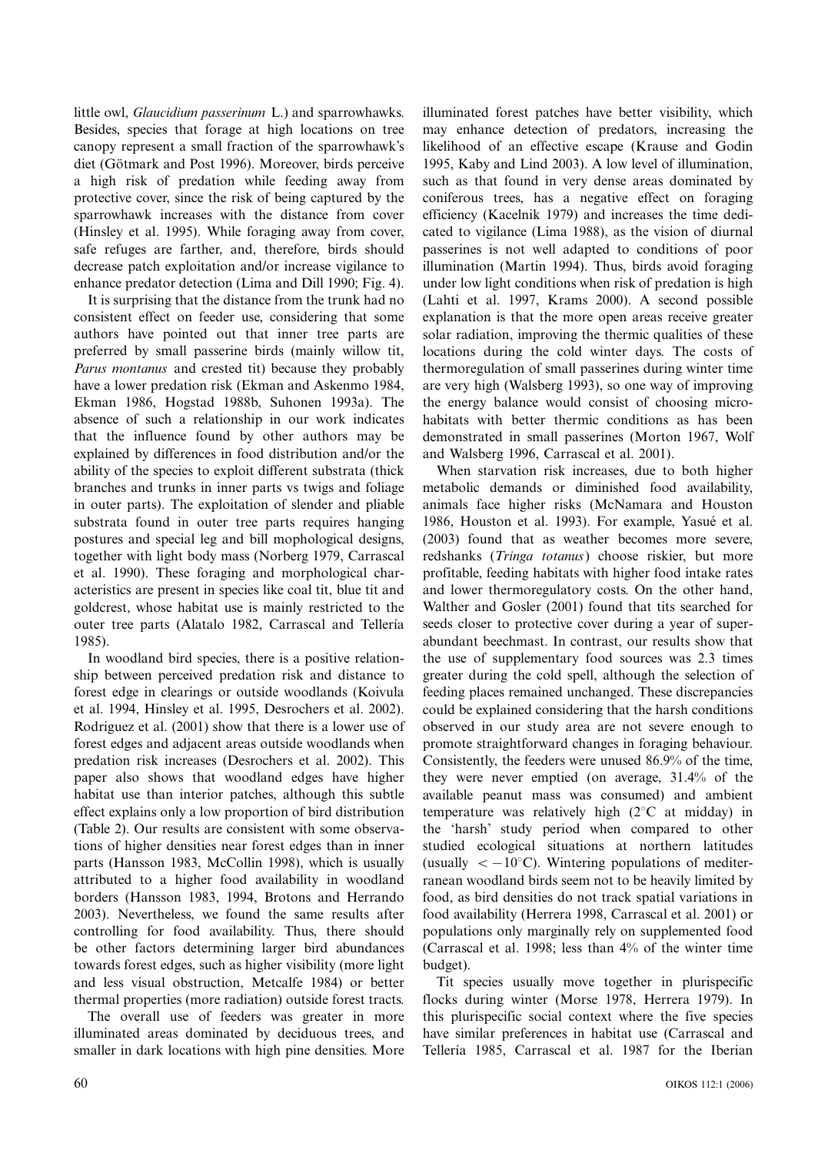little owl, Glaucidium passerinum L.) and sparrowhawks. Besides, species that forage at high locations on tree canopy represent a small fraction of the sparrowhawk's diet (Götmark and Post 1996). Moreover, birds perceive a high risk of predation while feeding away from protective cover, since the risk of being captured by the sparrowhawk increases with the distance from cover (Hinsley et al. 1995). While foraging away from cover, safe refuges are farther, and, therefore, birds should decrease patch exploitation and/or increase vigilance to enhance predator detection (Lima and Dill 1990; Fig. 4).

It is surprising that the distance from the trunk had no consistent effect on feeder use, considering that some authors have pointed out that inner tree parts are preferred by small passerine birds (mainly willow tit, Parus montanus and crested tit) because they probably have a lower predation risk (Ekman and Askenmo 1984, Ekman 1986, Hogstad 1988b, Suhonen 1993a). The absence of such a relationship in our work indicates that the influence found by other authors may be explained by differences in food distribution and/or the ability of the species to exploit different substrata (thick branches and trunks in inner parts vs twigs and foliage in outer parts). The exploitation of slender and pliable substrata found in outer tree parts requires hanging postures and special leg and bill mophological designs, together with light body mass (Norberg 1979, Carrascal et al. 1990). These foraging and morphological characteristics are present in species like coal tit, blue tit and goldcrest, whose habitat use is mainly restricted to the outer tree parts (Alatalo 1982, Carrascal and Tellería 1985).

In woodland bird species, there is a positive relationship between perceived predation risk and distance to forest edge in clearings or outside woodlands (Koivula et al. 1994, Hinsley et al. 1995, Desrochers et al. 2002). Rodriguez et al. (2001) show that there is a lower use of forest edges and adjacent areas outside woodlands when predation risk increases (Desrochers et al. 2002). This paper also shows that woodland edges have higher habitat use than interior patches, although this subtle effect explains only a low proportion of bird distribution (Table 2). Our results are consistent with some observations of higher densities near forest edges than in inner parts (Hansson 1983, McCollin 1998), which is usually attributed to a higher food availability in woodland borders (Hansson 1983, 1994, Brotons and Herrando 2003). Nevertheless, we found the same results after controlling for food availability. Thus, there should be other factors determining larger bird abundances towards forest edges, such as higher visibility (more light and less visual obstruction, Metcalfe 1984) or better thermal properties (more radiation) outside forest tracts.

The overall use of feeders was greater in more illuminated areas dominated by deciduous trees, and smaller in dark locations with high pine densities. More

illuminated forest patches have better visibility, which may enhance detection of predators, increasing the likelihood of an effective escape (Krause and Godin 1995, Kaby and Lind 2003). A low level of illumination, such as that found in very dense areas dominated by coniferous trees, has a negative effect on foraging efficiency (Kacelnik 1979) and increases the time dedicated to vigilance (Lima 1988), as the vision of diurnal passerines is not well adapted to conditions of poor illumination (Martin 1994). Thus, birds avoid foraging under low light conditions when risk of predation is high (Lahti et al. 1997, Krams 2000). A second possible explanation is that the more open areas receive greater solar radiation, improving the thermic qualities of these locations during the cold winter days. The costs of thermoregulation of small passerines during winter time are very high (Walsberg 1993), so one way of improving the energy balance would consist of choosing microhabitats with better thermic conditions as has been demonstrated in small passerines (Morton 1967, Wolf and Walsberg 1996, Carrascal et al. 2001).

When starvation risk increases, due to both higher metabolic demands or diminished food availability, animals face higher risks (McNamara and Houston 1986, Houston et al. 1993). For example, Yasué et al. (2003) found that as weather becomes more severe, redshanks (Tringa totanus) choose riskier, but more profitable, feeding habitats with higher food intake rates and lower thermoregulatory costs. On the other hand, Walther and Gosler (2001) found that tits searched for seeds closer to protective cover during a year of superabundant beechmast. In contrast, our results show that the use of supplementary food sources was 2.3 times greater during the cold spell, although the selection of feeding places remained unchanged. These discrepancies could be explained considering that the harsh conditions observed in our study area are not severe enough to promote straightforward changes in foraging behaviour. Consistently, the feeders were unused 86.9% of the time, they were never emptied (on average, 31.4% of the available peanut mass was consumed) and ambient temperature was relatively high  $(2^{\circ}C \text{ at midday})$  in the 'harsh' study period when compared to other studied ecological situations at northern latitudes (usually  $\langle -10^{\circ}$ C). Wintering populations of mediterranean woodland birds seem not to be heavily limited by food, as bird densities do not track spatial variations in food availability (Herrera 1998, Carrascal et al. 2001) or populations only marginally rely on supplemented food (Carrascal et al. 1998; less than 4% of the winter time budget).

Tit species usually move together in plurispecific flocks during winter (Morse 1978, Herrera 1979). In this plurispecific social context where the five species have similar preferences in habitat use (Carrascal and Tellería 1985, Carrascal et al. 1987 for the Iberian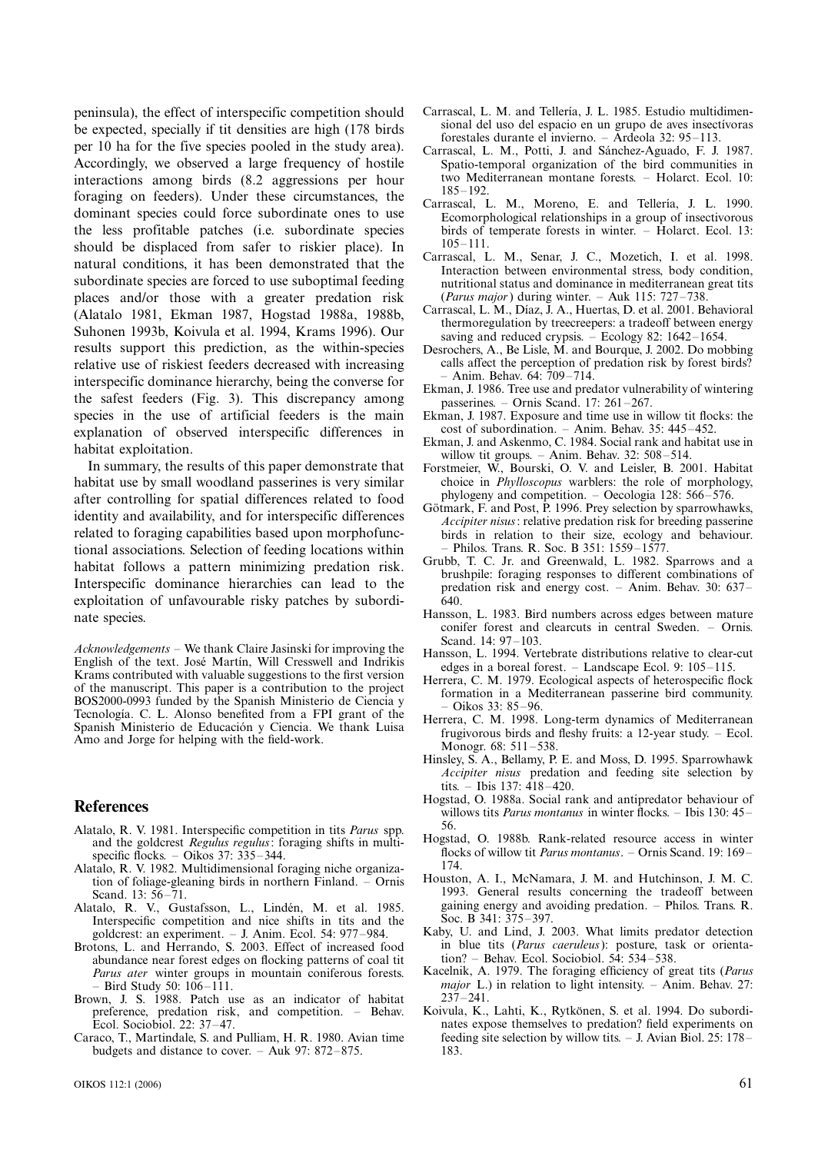peninsula), the effect of interspecific competition should be expected, specially if tit densities are high (178 birds per 10 ha for the five species pooled in the study area). Accordingly, we observed a large frequency of hostile interactions among birds (8.2 aggressions per hour foraging on feeders). Under these circumstances, the dominant species could force subordinate ones to use the less profitable patches (i.e. subordinate species should be displaced from safer to riskier place). In natural conditions, it has been demonstrated that the subordinate species are forced to use suboptimal feeding places and/or those with a greater predation risk (Alatalo 1981, Ekman 1987, Hogstad 1988a, 1988b, Suhonen 1993b, Koivula et al. 1994, Krams 1996). Our results support this prediction, as the within-species relative use of riskiest feeders decreased with increasing interspecific dominance hierarchy, being the converse for the safest feeders (Fig. 3). This discrepancy among species in the use of artificial feeders is the main explanation of observed interspecific differences in habitat exploitation.

In summary, the results of this paper demonstrate that habitat use by small woodland passerines is very similar after controlling for spatial differences related to food identity and availability, and for interspecific differences related to foraging capabilities based upon morphofunctional associations. Selection of feeding locations within habitat follows a pattern minimizing predation risk. Interspecific dominance hierarchies can lead to the exploitation of unfavourable risky patches by subordinate species.

 $Acknowledgements - We thank Claire Jasinski for improving the$ English of the text. José Martín, Will Cresswell and Indrikis Krams contributed with valuable suggestions to the first version of the manuscript. This paper is a contribution to the project BOS2000-0993 funded by the Spanish Ministerio de Ciencia y Tecnología. C. L. Alonso benefited from a FPI grant of the Spanish Ministerio de Educación y Ciencia. We thank Luisa Amo and Jorge for helping with the field-work.

### References

- Alatalo, R. V. 1981. Interspecific competition in tits Parus spp. and the goldcrest Regulus regulus: foraging shifts in multispecific flocks. – Oikos 37:  $335-344$ .
- Alatalo, R. V. 1982. Multidimensional foraging niche organization of foliage-gleaning birds in northern  $\overline{F}$ inland. - Ornis Scand. 13: 56-71.
- Alatalo, R. V., Gustafsson, L., Lindén, M. et al. 1985. Interspecific competition and nice shifts in tits and the goldcrest: an experiment.  $-$  J. Anim. Ecol. 54: 977-984.
- Brotons, L. and Herrando, S. 2003. Effect of increased food abundance near forest edges on flocking patterns of coal tit Parus ater winter groups in mountain coniferous forests.  $-$  Bird Study 50:  $106 - 111$ .
- Brown, J. S. 1988. Patch use as an indicator of habitat preference, predation risk, and competition. - Behav. Ecol. Sociobiol. 22: 37-47.
- Caraco, T., Martindale, S. and Pulliam, H. R. 1980. Avian time budgets and distance to cover.  $-$  Auk 97: 872 $-$ 875.
- Carrascal, L. M. and Tellería, J. L. 1985. Estudio multidimensional del uso del espacio en un grupo de aves insectívoras forestales durante el invierno. - Ardeola 32:  $95-113$ .
- Carrascal, L. M., Potti, J. and Sánchez-Aguado, F. J. 1987. Spatio-temporal organization of the bird communities in two Mediterranean montane forests. - Holarct. Ecol. 10:  $185 - 192$
- Carrascal, L. M., Moreno, E. and Tellería, J. L. 1990. Ecomorphological relationships in a group of insectivorous birds of temperate forests in winter.  $-$  Holarct. Ecol. 13:  $105 - 111$ .
- Carrascal, L. M., Senar, J. C., Mozetich, I. et al. 1998. Interaction between environmental stress, body condition, nutritional status and dominance in mediterranean great tits (Parus major) during winter. - Auk 115:  $727-738$ .
- Carrascal, L. M., Díaz, J. A., Huertas, D. et al. 2001. Behavioral thermoregulation by treecreepers: a tradeoff between energy saving and reduced crypsis.  $-$  Ecology 82: 1642-1654.
- Desrochers, A., Be Lisle, M. and Bourque, J. 2002. Do mobbing calls affect the perception of predation risk by forest birds? - Anim. Behav. 64: 709-714.
- Ekman, J. 1986. Tree use and predator vulnerability of wintering passerines. – Ornis Scand. 17:  $261-267$ .
- Ekman, J. 1987. Exposure and time use in willow tit flocks: the cost of subordination. - Anim. Behav. 35:  $445-452$ .
- Ekman, J. and Askenmo, C. 1984. Social rank and habitat use in willow tit groups. – Anim. Behav.  $32: 508-514$ .
- Forstmeier, W., Bourski, O. V. and Leisler, B. 2001. Habitat choice in Phylloscopus warblers: the role of morphology, phylogeny and competition. – Oecologia 128:  $566-576$ .
- Götmark, F. and Post, P. 1996. Prey selection by sparrowhawks, Accipiter nisus: relative predation risk for breeding passerine birds in relation to their size, ecology and behaviour. Philos. Trans. R. Soc. B 351: 1559-1577.
- Grubb, T. C. Jr. and Greenwald, L. 1982. Sparrows and a brushpile: foraging responses to different combinations of predation risk and energy cost. - Anim. Behav. 30:  $637 640.$
- Hansson, L. 1983. Bird numbers across edges between mature conifer forest and clearcuts in central Sweden. - Ornis. Scand. 14: 97-103.
- Hansson, L. 1994. Vertebrate distributions relative to clear-cut edges in a boreal forest.  $-$  Landscape Ecol. 9: 105 $-115$ .
- Herrera, C. M. 1979. Ecological aspects of heterospecific flock formation in a Mediterranean passerine bird community.  $-$  Oikos 33: 85 $-96$ .
- Herrera, C. M. 1998. Long-term dynamics of Mediterranean frugivorous birds and fleshy fruits: a  $12$ -year study. – Ecol. Monogr. 68: 511-538.
- Hinsley, S. A., Bellamy, P. E. and Moss, D. 1995. Sparrowhawk Accipiter nisus predation and feeding site selection by tits. - Ibis 137:  $418-420$ .
- Hogstad, O. 1988a. Social rank and antipredator behaviour of willows tits Parus montanus in winter flocks. - Ibis 130: 45-56.
- Hogstad, O. 1988b. Rank-related resource access in winter flocks of willow tit Parus montanus. - Ornis Scand. 19: 169-174.
- Houston, A. I., McNamara, J. M. and Hutchinson, J. M. C. 1993. General results concerning the tradeoff between gaining energy and avoiding predation. - Philos. Trans. R. Soc. B 341: 375-397.
- Kaby, U. and Lind, J. 2003. What limits predator detection in blue tits (Parus caeruleus): posture, task or orientation? - Behav. Ecol. Sociobiol. 54: 534-538.
- Kacelnik, A. 1979. The foraging efficiency of great tits (Parus *major* L.) in relation to light intensity.  $-$  Anim. Behav. 27:  $237 - 241$ .
- Koivula, K., Lahti, K., Rytkönen, S. et al. 1994. Do subordinates expose themselves to predation? field experiments on feeding site selection by willow tits.  $-$  J. Avian Biol. 25: 178– 183.